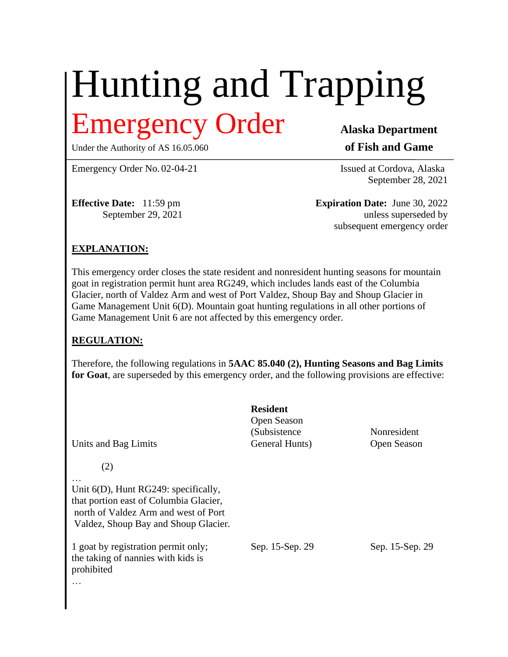# Hunting and Trapping Emergency Order **Alaska Department**

Under the Authority of AS 16.05.060 **of Fish and Game** 

Emergency Order No. 02-04-21 Issued at Cordova, Alaska

September 28, 2021

**Effective Date:** 11:59 pm **Expiration Date:** June 30, 2022 September 29, 2021 unless superseded by subsequent emergency order

# **EXPLANATION:**

This emergency order closes the state resident and nonresident hunting seasons for mountain goat in registration permit hunt area RG249, which includes lands east of the Columbia Glacier, north of Valdez Arm and west of Port Valdez, Shoup Bay and Shoup Glacier in Game Management Unit 6(D). Mountain goat hunting regulations in all other portions of Game Management Unit 6 are not affected by this emergency order.

### **REGULATION:**

Therefore, the following regulations in **5AAC 85.040 (2), Hunting Seasons and Bag Limits for Goat**, are superseded by this emergency order, and the following provisions are effective:

| Units and Bag Limits                                                                                                                                              | <b>Resident</b><br>Open Season<br>(Subsistence)<br>General Hunts) | Nonresident<br>Open Season |
|-------------------------------------------------------------------------------------------------------------------------------------------------------------------|-------------------------------------------------------------------|----------------------------|
| (2)                                                                                                                                                               |                                                                   |                            |
| Unit $6(D)$ , Hunt RG249: specifically,<br>that portion east of Columbia Glacier,<br>north of Valdez Arm and west of Port<br>Valdez, Shoup Bay and Shoup Glacier. |                                                                   |                            |
| 1 goat by registration permit only;<br>the taking of nannies with kids is<br>prohibited                                                                           | Sep. 15-Sep. 29                                                   | Sep. 15-Sep. 29            |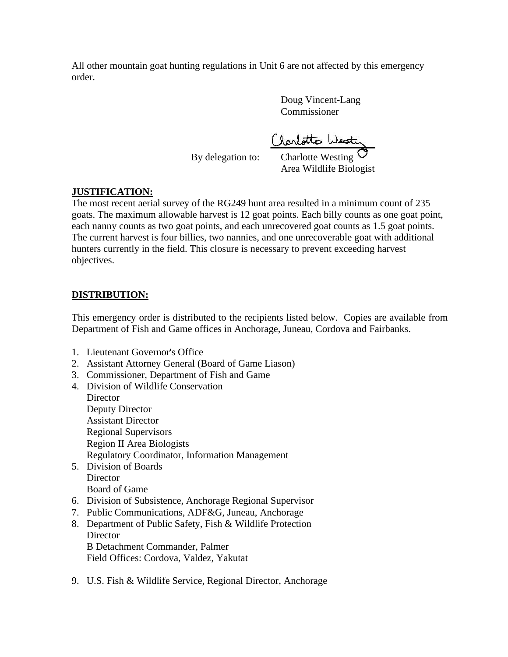All other mountain goat hunting regulations in Unit 6 are not affected by this emergency order.

> Doug Vincent-Lang Commissioner

Clarlotte Westing

By delegation to:

Area Wildlife Biologist

# **JUSTIFICATION:**

The most recent aerial survey of the RG249 hunt area resulted in a minimum count of 235 goats. The maximum allowable harvest is 12 goat points. Each billy counts as one goat point, each nanny counts as two goat points, and each unrecovered goat counts as 1.5 goat points. The current harvest is four billies, two nannies, and one unrecoverable goat with additional hunters currently in the field. This closure is necessary to prevent exceeding harvest objectives.

# **DISTRIBUTION:**

This emergency order is distributed to the recipients listed below. Copies are available from Department of Fish and Game offices in Anchorage, Juneau, Cordova and Fairbanks.

- 1. Lieutenant Governor's Office
- 2. Assistant Attorney General (Board of Game Liason)
- 3. Commissioner, Department of Fish and Game
- 4. Division of Wildlife Conservation **Director** Deputy Director Assistant Director Regional Supervisors Region II Area Biologists Regulatory Coordinator, Information Management 5. Division of Boards
- **Director** Board of Game
- 6. Division of Subsistence, Anchorage Regional Supervisor
- 7. Public Communications, ADF&G, Juneau, Anchorage
- 8. Department of Public Safety, Fish & Wildlife Protection **Director** B Detachment Commander, Palmer Field Offices: Cordova, Valdez, Yakutat
- 9. U.S. Fish & Wildlife Service, Regional Director, Anchorage